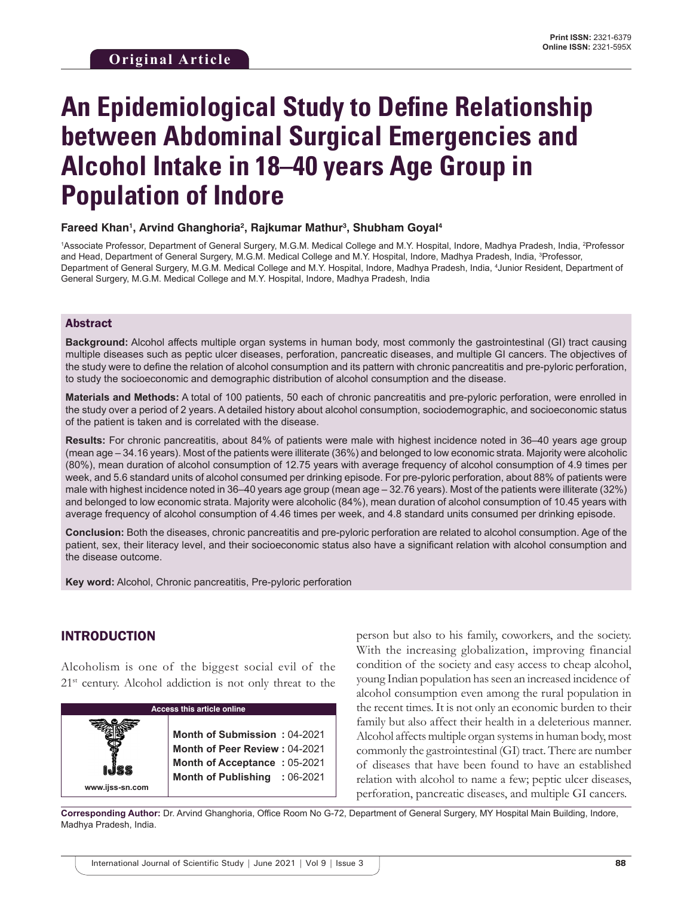# **An Epidemiological Study to Define Relationship between Abdominal Surgical Emergencies and Alcohol Intake in 18–40 years Age Group in Population of Indore**

#### **Fareed Khan1 , Arvind Ghanghoria2 , Rajkumar Mathur3 , Shubham Goyal4**

<sup>1</sup>Associate Professor, Department of General Surgery, M.G.M. Medical College and M.Y. Hospital, Indore, Madhya Pradesh, India, <sup>2</sup>Professor and Head, Department of General Surgery, M.G.M. Medical College and M.Y. Hospital, Indore, Madhya Pradesh, India, 3 Professor, Department of General Surgery, M.G.M. Medical College and M.Y. Hospital, Indore, Madhya Pradesh, India, 4 Junior Resident, Department of General Surgery, M.G.M. Medical College and M.Y. Hospital, Indore, Madhya Pradesh, India

#### Abstract

**Background:** Alcohol affects multiple organ systems in human body, most commonly the gastrointestinal (GI) tract causing multiple diseases such as peptic ulcer diseases, perforation, pancreatic diseases, and multiple GI cancers. The objectives of the study were to define the relation of alcohol consumption and its pattern with chronic pancreatitis and pre-pyloric perforation, to study the socioeconomic and demographic distribution of alcohol consumption and the disease.

**Materials and Methods:** A total of 100 patients, 50 each of chronic pancreatitis and pre-pyloric perforation, were enrolled in the study over a period of 2 years. A detailed history about alcohol consumption, sociodemographic, and socioeconomic status of the patient is taken and is correlated with the disease.

**Results:** For chronic pancreatitis, about 84% of patients were male with highest incidence noted in 36–40 years age group (mean age – 34.16 years). Most of the patients were illiterate (36%) and belonged to low economic strata. Majority were alcoholic (80%), mean duration of alcohol consumption of 12.75 years with average frequency of alcohol consumption of 4.9 times per week, and 5.6 standard units of alcohol consumed per drinking episode. For pre-pyloric perforation, about 88% of patients were male with highest incidence noted in 36–40 years age group (mean age – 32.76 years). Most of the patients were illiterate (32%) and belonged to low economic strata. Majority were alcoholic (84%), mean duration of alcohol consumption of 10.45 years with average frequency of alcohol consumption of 4.46 times per week, and 4.8 standard units consumed per drinking episode.

**Conclusion:** Both the diseases, chronic pancreatitis and pre-pyloric perforation are related to alcohol consumption. Age of the patient, sex, their literacy level, and their socioeconomic status also have a significant relation with alcohol consumption and the disease outcome.

**Key word:** Alcohol, Chronic pancreatitis, Pre-pyloric perforation

## INTRODUCTION

Alcoholism is one of the biggest social evil of the 21<sup>st</sup> century. Alcohol addiction is not only threat to the

| <b>Access this article online</b> |                               |  |  |  |
|-----------------------------------|-------------------------------|--|--|--|
|                                   |                               |  |  |  |
|                                   | Month of Submission: 04-2021  |  |  |  |
|                                   | Month of Peer Review: 04-2021 |  |  |  |
|                                   | Month of Acceptance: 05-2021  |  |  |  |
|                                   | Month of Publishing : 06-2021 |  |  |  |
| www.ijss-sn.com                   |                               |  |  |  |

person but also to his family, coworkers, and the society. With the increasing globalization, improving financial condition of the society and easy access to cheap alcohol, young Indian population has seen an increased incidence of alcohol consumption even among the rural population in the recent times. It is not only an economic burden to their family but also affect their health in a deleterious manner. Alcohol affects multiple organ systems in human body, most commonly the gastrointestinal (GI) tract. There are number of diseases that have been found to have an established relation with alcohol to name a few; peptic ulcer diseases, perforation, pancreatic diseases, and multiple GI cancers.

**Corresponding Author:** Dr. Arvind Ghanghoria, Office Room No G-72, Department of General Surgery, MY Hospital Main Building, Indore, Madhya Pradesh, India.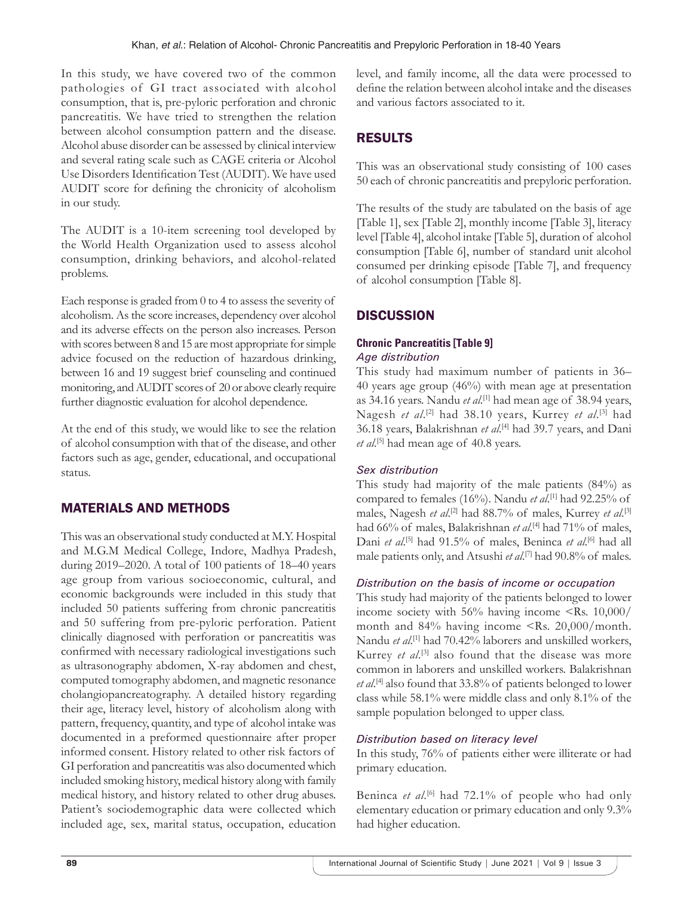In this study, we have covered two of the common pathologies of GI tract associated with alcohol consumption, that is, pre-pyloric perforation and chronic pancreatitis. We have tried to strengthen the relation between alcohol consumption pattern and the disease. Alcohol abuse disorder can be assessed by clinical interview and several rating scale such as CAGE criteria or Alcohol Use Disorders Identification Test (AUDIT). We have used AUDIT score for defining the chronicity of alcoholism in our study.

The AUDIT is a 10-item screening tool developed by the World Health Organization used to assess alcohol consumption, drinking behaviors, and alcohol-related problems.

Each response is graded from 0 to 4 to assess the severity of alcoholism. As the score increases, dependency over alcohol and its adverse effects on the person also increases. Person with scores between 8 and 15 are most appropriate for simple advice focused on the reduction of hazardous drinking, between 16 and 19 suggest brief counseling and continued monitoring, and AUDIT scores of 20 or above clearly require further diagnostic evaluation for alcohol dependence.

At the end of this study, we would like to see the relation of alcohol consumption with that of the disease, and other factors such as age, gender, educational, and occupational status.

# MATERIALS AND METHODS

This was an observational study conducted at M.Y. Hospital and M.G.M Medical College, Indore, Madhya Pradesh, during 2019–2020. A total of 100 patients of 18–40 years age group from various socioeconomic, cultural, and economic backgrounds were included in this study that included 50 patients suffering from chronic pancreatitis and 50 suffering from pre-pyloric perforation. Patient clinically diagnosed with perforation or pancreatitis was confirmed with necessary radiological investigations such as ultrasonography abdomen, X-ray abdomen and chest, computed tomography abdomen, and magnetic resonance cholangiopancreatography. A detailed history regarding their age, literacy level, history of alcoholism along with pattern, frequency, quantity, and type of alcohol intake was documented in a preformed questionnaire after proper informed consent. History related to other risk factors of GI perforation and pancreatitis was also documented which included smoking history, medical history along with family medical history, and history related to other drug abuses. Patient's sociodemographic data were collected which included age, sex, marital status, occupation, education

level, and family income, all the data were processed to define the relation between alcohol intake and the diseases and various factors associated to it.

# RESULTS

This was an observational study consisting of 100 cases 50 each of chronic pancreatitis and prepyloric perforation.

The results of the study are tabulated on the basis of age [Table 1], sex [Table 2], monthly income [Table 3], literacy level [Table 4], alcohol intake [Table 5], duration of alcohol consumption [Table 6], number of standard unit alcohol consumed per drinking episode [Table 7], and frequency of alcohol consumption [Table 8].

# **DISCUSSION**

#### **Chronic Pancreatitis [Table 9]** *Age distribution*

This study had maximum number of patients in 36– 40 years age group (46%) with mean age at presentation as 34.16 years. Nandu *et al*. [1] had mean age of 38.94 years, Nagesh *et al.*<sup>[2]</sup> had 38.10 years, Kurrey *et al.*<sup>[3]</sup> had 36.18 years, Balakrishnan *et al*. [4] had 39.7 years, and Dani et al.<sup>[5]</sup> had mean age of 40.8 years.

## *Sex distribution*

This study had majority of the male patients (84%) as compared to females (16%). Nandu *et al*. [1] had 92.25% of males, Nagesh *et al*. [2] had 88.7% of males, Kurrey *et al*. [3] had 66% of males, Balakrishnan *et al*. [4] had 71% of males, Dani et al.<sup>[5]</sup> had 91.5% of males, Beninca et al.<sup>[6]</sup> had all male patients only, and Atsushi *et al*. [7] had 90.8% of males.

## *Distribution on the basis of income or occupation*

This study had majority of the patients belonged to lower income society with 56% having income <Rs. 10,000/ month and 84% having income <Rs. 20,000/month. Nandu *et al*. [1] had 70.42% laborers and unskilled workers, Kurrey *et al.*<sup>[3]</sup> also found that the disease was more common in laborers and unskilled workers. Balakrishnan et al.<sup>[4]</sup> also found that 33.8% of patients belonged to lower class while 58.1% were middle class and only 8.1% of the sample population belonged to upper class.

## *Distribution based on literacy level*

In this study, 76% of patients either were illiterate or had primary education.

Beninca *et al.*<sup>[6]</sup> had 72.1% of people who had only elementary education or primary education and only 9.3% had higher education.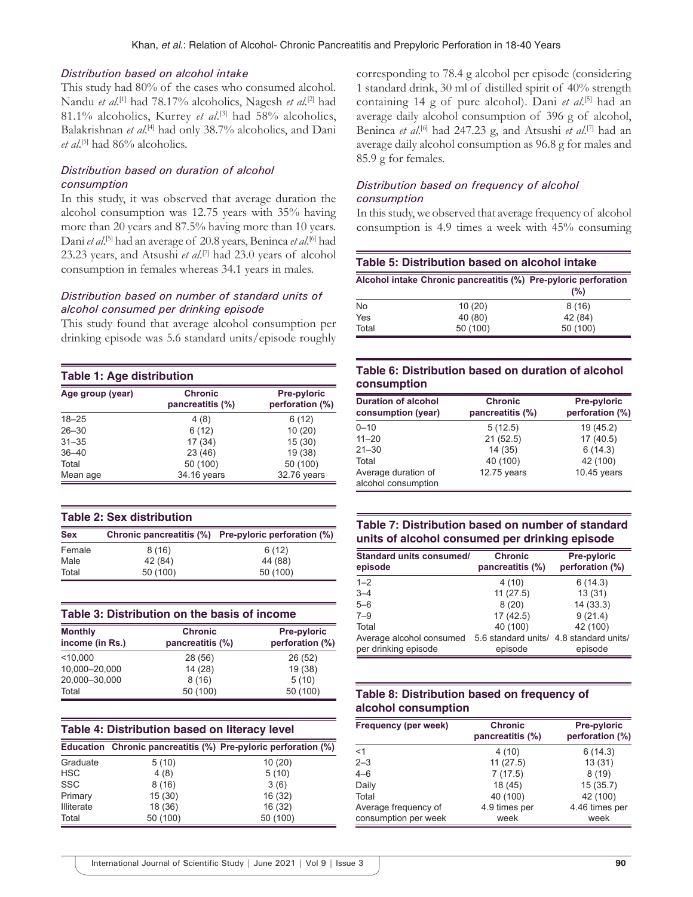#### *Distribution based on alcohol intake*

This study had 80% of the cases who consumed alcohol. Nandu *et al.*<sup>[1]</sup> had 78.17% alcoholics, Nagesh *et al.*<sup>[2]</sup> had 81.1% alcoholics, Kurrey *et al.*<sup>[3]</sup> had 58% alcoholics, Balakrishnan et al.<sup>[4]</sup> had only 38.7% alcoholics, and Dani et al.<sup>[5]</sup> had 86% alcoholics.

#### *Distribution based on duration of alcohol consumption*

In this study, it was observed that average duration the alcohol consumption was 12.75 years with 35% having more than 20 years and 87.5% having more than 10 years. Dani et al.<sup>[5]</sup> had an average of 20.8 years, Beninca et al.<sup>[6]</sup> had 23.23 years, and Atsushi *et al*. [7] had 23.0 years of alcohol consumption in females whereas 34.1 years in males.

#### *Distribution based on number of standard units of alcohol consumed per drinking episode*

This study found that average alcohol consumption per drinking episode was 5.6 standard units/episode roughly

| Table 1: Age distribution |                                    |                                |  |  |  |  |
|---------------------------|------------------------------------|--------------------------------|--|--|--|--|
| Age group (year)          | <b>Chronic</b><br>pancreatitis (%) | Pre-pyloric<br>perforation (%) |  |  |  |  |
| $18 - 25$                 | 4(8)                               | 6(12)                          |  |  |  |  |
| $26 - 30$                 | 6(12)                              | 10(20)                         |  |  |  |  |
| $31 - 35$                 | 17(34)                             | 15(30)                         |  |  |  |  |
| $36 - 40$                 | 23 (46)                            | 19 (38)                        |  |  |  |  |
| Total                     | 50 (100)                           | 50 (100)                       |  |  |  |  |
| Mean age                  | 34.16 years                        | 32.76 years                    |  |  |  |  |

|            | <b>Table 2: Sex distribution</b> |                                                      |
|------------|----------------------------------|------------------------------------------------------|
| <b>Sex</b> |                                  | Chronic pancreatitis (%) Pre-pyloric perforation (%) |
| Female     | 8(16)                            | 6(12)                                                |
| Male       | 42 (84)                          | 44 (88)                                              |
| Total      | 50 (100)                         | 50 (100)                                             |

| Table 3: Distribution on the basis of income |                                    |                                |  |  |  |
|----------------------------------------------|------------------------------------|--------------------------------|--|--|--|
| <b>Monthly</b><br>income (in Rs.)            | <b>Chronic</b><br>pancreatitis (%) | Pre-pyloric<br>perforation (%) |  |  |  |
| < 10.000                                     | 28 (56)                            | 26(52)                         |  |  |  |
| 10,000-20,000                                | 14 (28)                            | 19(38)                         |  |  |  |
| 20,000-30,000                                | 8(16)                              | 5(10)                          |  |  |  |
| Total                                        | 50 (100)                           | 50 (100)                       |  |  |  |

| Table 4: Distribution based on literacy level |          |                                                                |  |  |  |
|-----------------------------------------------|----------|----------------------------------------------------------------|--|--|--|
|                                               |          | Education Chronic pancreatitis (%) Pre-pyloric perforation (%) |  |  |  |
| Graduate                                      | 5(10)    | 10(20)                                                         |  |  |  |
| <b>HSC</b>                                    | 4(8)     | 5(10)                                                          |  |  |  |
| <b>SSC</b>                                    | 8(16)    | 3(6)                                                           |  |  |  |
| Primary                                       | 15(30)   | 16 (32)                                                        |  |  |  |
| <b>Illiterate</b>                             | 18 (36)  | 16 (32)                                                        |  |  |  |
| Total                                         | 50 (100) | 50 (100)                                                       |  |  |  |

corresponding to 78.4 g alcohol per episode (considering 1 standard drink, 30 ml of distilled spirit of 40% strength containing 14 g of pure alcohol). Dani *et al*. [5] had an average daily alcohol consumption of 396 g of alcohol, Beninca *et al*. [6] had 247.23 g, and Atsushi *et al*. [7] had an average daily alcohol consumption as 96.8 g for males and 85.9 g for females.

#### *Distribution based on frequency of alcohol consumption*

In this study, we observed that average frequency of alcohol consumption is 4.9 times a week with 45% consuming

| Table 5: Distribution based on alcohol intake                          |          |          |  |  |  |  |
|------------------------------------------------------------------------|----------|----------|--|--|--|--|
| Alcohol intake Chronic pancreatitis (%) Pre-pyloric perforation<br>(%) |          |          |  |  |  |  |
| No                                                                     | 10(20)   | 8(16)    |  |  |  |  |
| Yes                                                                    | 40 (80)  | 42 (84)  |  |  |  |  |
| Total                                                                  | 50 (100) | 50 (100) |  |  |  |  |

#### **Table 6: Distribution based on duration of alcohol consumption**

| <b>Duration of alcohol</b><br>consumption (year) | <b>Chronic</b><br>pancreatitis (%) | <b>Pre-pyloric</b><br>perforation (%) |  |  |
|--------------------------------------------------|------------------------------------|---------------------------------------|--|--|
| $0 - 10$                                         | 5(12.5)                            | 19(45.2)                              |  |  |
| $11 - 20$                                        | 21(52.5)                           | 17(40.5)                              |  |  |
| $21 - 30$                                        | 14(35)                             | 6(14.3)                               |  |  |
| Total                                            | 40 (100)                           | 42 (100)                              |  |  |
| Average duration of<br>alcohol consumption       | $12.75$ years                      | $10.45$ years                         |  |  |

## **Table 7: Distribution based on number of standard units of alcohol consumed per drinking episode**

| <b>Standard units consumed/</b><br>episode                       | <b>Chronic</b><br>pancreatitis (%) | Pre-pyloric<br>perforation (%) |
|------------------------------------------------------------------|------------------------------------|--------------------------------|
| $1 - 2$                                                          | 4(10)                              | 6(14.3)                        |
| $3 - 4$                                                          | 11(27.5)                           | 13(31)                         |
| $5 - 6$                                                          | 8(20)                              | 14(33.3)                       |
| $7 - 9$                                                          | 17(42.5)                           | 9(21.4)                        |
| Total                                                            | 40 (100)                           | 42 (100)                       |
| Average alcohol consumed 5.6 standard units/ 4.8 standard units/ |                                    |                                |
| per drinking episode                                             | episode                            | episode                        |

#### **Table 8: Distribution based on frequency of alcohol consumption**

| Frequency (per week)                         | <b>Chronic</b><br>pancreatitis (%) | Pre-pyloric<br>perforation (%) |  |  |
|----------------------------------------------|------------------------------------|--------------------------------|--|--|
| $<$ 1                                        | 4(10)                              | 6(14.3)                        |  |  |
| $2 - 3$                                      | 11(27.5)                           | 13(31)                         |  |  |
| $4 - 6$                                      | 7(17.5)                            | 8(19)                          |  |  |
| Daily                                        | 18(45)                             | 15(35.7)                       |  |  |
| Total                                        | 40 (100)                           | 42 (100)                       |  |  |
| Average frequency of<br>consumption per week | 4.9 times per<br>week              | 4.46 times per<br>week         |  |  |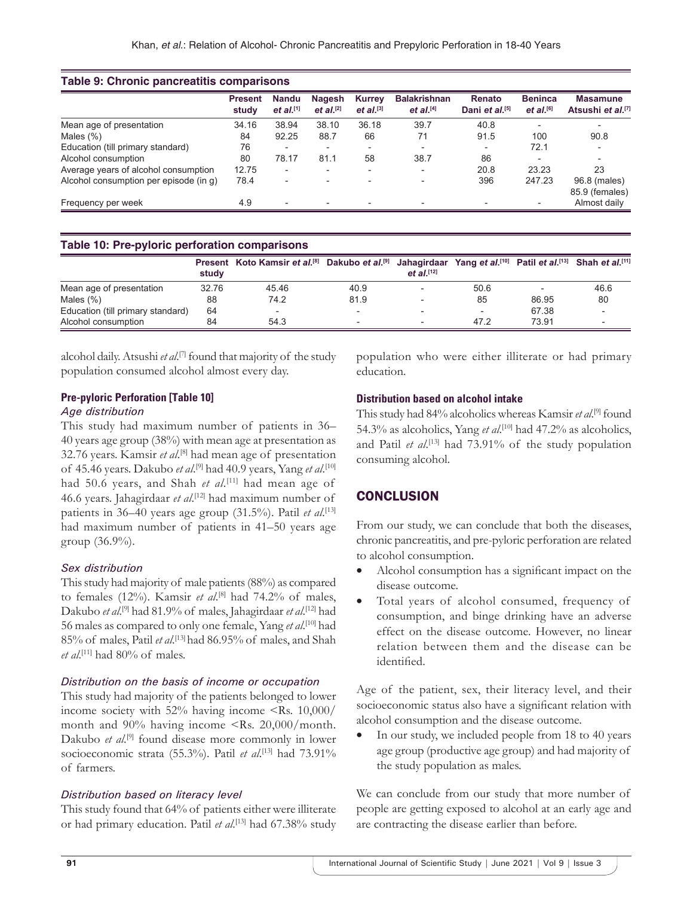|                                        | <b>Present</b><br>study | Nandu<br>$et al.$ [1]    | <b>Nagesh</b><br>et al. <sup>[2]</sup> | <b>Kurrey</b><br>et al. $^{[3]}$ | <b>Balakrishnan</b><br>et al. <sup>[4]</sup> | Renato<br>Dani et al. <sup>[5]</sup> | <b>Beninca</b><br>et al. <sup>[6]</sup> | <b>Masamune</b><br>Atsushi et al. <sup>[7]</sup> |
|----------------------------------------|-------------------------|--------------------------|----------------------------------------|----------------------------------|----------------------------------------------|--------------------------------------|-----------------------------------------|--------------------------------------------------|
| Mean age of presentation               | 34.16                   | 38.94                    | 38.10                                  | 36.18                            | 39.7                                         | 40.8                                 | $\overline{\phantom{0}}$                |                                                  |
| Males $(\%)$                           | 84                      | 92.25                    | 88.7                                   | 66                               | 71                                           | 91.5                                 | 100                                     | 90.8                                             |
| Education (till primary standard)      | 76                      |                          |                                        | $\overline{\phantom{a}}$         |                                              |                                      | 72.1                                    |                                                  |
| Alcohol consumption                    | 80                      | 78.17                    | 81.1                                   | 58                               | 38.7                                         | 86                                   |                                         | $\overline{\phantom{a}}$                         |
| Average years of alcohol consumption   | 12.75                   | $\overline{\phantom{a}}$ |                                        | $\overline{\phantom{a}}$         | $\overline{\phantom{a}}$                     | 20.8                                 | 23.23                                   | 23                                               |
| Alcohol consumption per episode (in g) | 78.4                    | $\overline{\phantom{0}}$ |                                        | $\overline{\phantom{a}}$         | $\overline{\phantom{a}}$                     | 396                                  | 247.23                                  | 96.8 (males)<br>85.9 (females)                   |
| Frequency per week                     | 4.9                     | $\overline{\phantom{0}}$ | ۰.                                     | $\overline{\phantom{a}}$         | $\overline{\phantom{a}}$                     |                                      | $\overline{\phantom{0}}$                | Almost daily                                     |

#### **Table 10: Pre-pyloric perforation comparisons**

|                                   | study | Present Koto Kamsir et al. <sup>[8]</sup> Dakubo et al. <sup>[9]</sup> Jahaqirdaar Yang et al. <sup>[10]</sup> Patil et al. <sup>[13]</sup> Shah et al. <sup>[11]</sup> |      | $et al.$ [12]            |      |       |      |
|-----------------------------------|-------|-------------------------------------------------------------------------------------------------------------------------------------------------------------------------|------|--------------------------|------|-------|------|
| Mean age of presentation          | 32.76 | 45.46                                                                                                                                                                   | 40.9 | $\overline{\phantom{a}}$ | 50.6 |       | 46.6 |
| Males $(\%)$                      | 88    | 74.2                                                                                                                                                                    | 81.9 |                          | 85   | 86.95 | 80   |
| Education (till primary standard) | 64    | $\overline{\phantom{0}}$                                                                                                                                                |      |                          |      | 67.38 |      |
| Alcohol consumption               | 84    | 54.3                                                                                                                                                                    |      | $\overline{\phantom{a}}$ | 47.2 | 73.91 |      |

alcohol daily. Atsushi *et al*. [7] found that majority of the study population consumed alcohol almost every day.

#### **Pre-pyloric Perforation [Table 10]**

#### *Age distribution*

This study had maximum number of patients in 36– 40 years age group (38%) with mean age at presentation as 32.76 years. Kamsir et al.<sup>[8]</sup> had mean age of presentation of 45.46 years. Dakubo *et al*. [9] had 40.9 years, Yang *et al*. [10] had 50.6 years, and Shah *et al*.<sup>[11]</sup> had mean age of 46.6 years. Jahagirdaar *et al*. [12] had maximum number of patients in 36–40 years age group (31.5%). Patil *et al*. [13] had maximum number of patients in 41–50 years age group (36.9%).

#### *Sex distribution*

This study had majority of male patients (88%) as compared to females (12%). Kamsir *et al*. [8] had 74.2% of males, Dakubo *et al*. [9] had 81.9% of males, Jahagirdaar *et al*. [12] had 56 males as compared to only one female, Yang *et al*. [10] had 85% of males, Patil *et al*. [13] had 86.95% of males, and Shah *et al*. [11] had 80% of males.

#### *Distribution on the basis of income or occupation*

This study had majority of the patients belonged to lower income society with 52% having income <Rs. 10,000/ month and 90% having income <Rs. 20,000/month. Dakubo *et al.*<sup>[9]</sup> found disease more commonly in lower socioeconomic strata (55.3%). Patil *et al.*<sup>[13]</sup> had 73.91% of farmers.

#### *Distribution based on literacy level*

This study found that 64% of patients either were illiterate or had primary education. Patil *et al*. [13] had 67.38% study population who were either illiterate or had primary education.

#### **Distribution based on alcohol intake**

This study had 84% alcoholics whereas Kamsir *et al*. [9] found 54.3% as alcoholics, Yang *et al*. [10] had 47.2% as alcoholics, and Patil *et al.*<sup>[13]</sup> had 73.91% of the study population consuming alcohol.

#### **CONCLUSION**

From our study, we can conclude that both the diseases, chronic pancreatitis, and pre-pyloric perforation are related to alcohol consumption.

- Alcohol consumption has a significant impact on the disease outcome.
- Total years of alcohol consumed, frequency of consumption, and binge drinking have an adverse effect on the disease outcome. However, no linear relation between them and the disease can be identified.

Age of the patient, sex, their literacy level, and their socioeconomic status also have a significant relation with alcohol consumption and the disease outcome.

In our study, we included people from 18 to 40 years age group (productive age group) and had majority of the study population as males.

We can conclude from our study that more number of people are getting exposed to alcohol at an early age and are contracting the disease earlier than before.